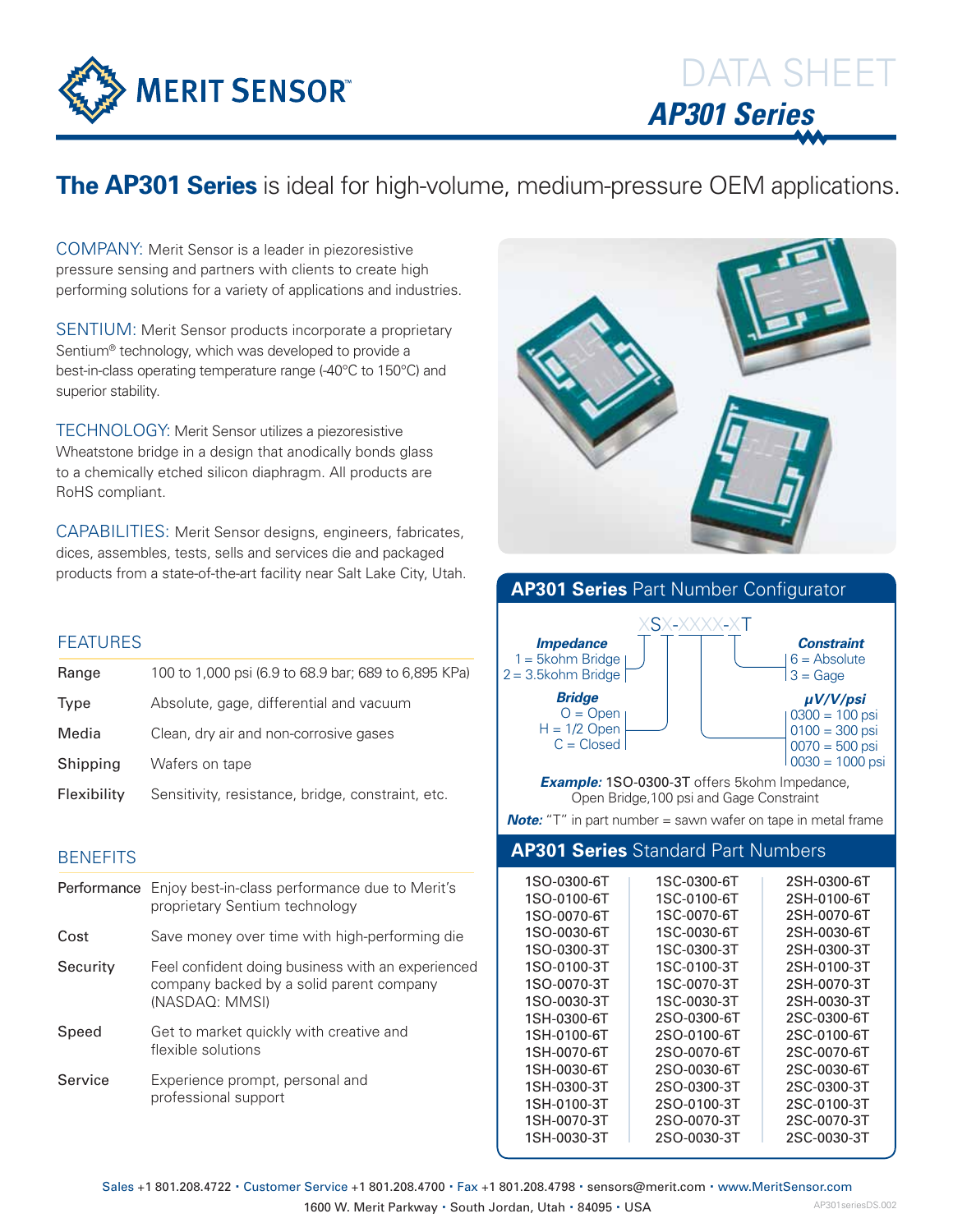

# **The AP301 Series** is ideal for high-volume, medium-pressure OEM applications.

COMPANY: Merit Sensor is a leader in piezoresistive pressure sensing and partners with clients to create high performing solutions for a variety of applications and industries.

SENTIUM: Merit Sensor products incorporate a proprietary Sentium® technology, which was developed to provide a best-in-class operating temperature range (-40°C to 150°C) and superior stability.

TECHNOLOGY: Merit Sensor utilizes a piezoresistive Wheatstone bridge in a design that anodically bonds glass to a chemically etched silicon diaphragm. All products are RoHS compliant.

CAPABILITIES: Merit Sensor designs, engineers, fabricates, dices, assembles, tests, sells and services die and packaged products from a state-of-the-art facility near Salt Lake City, Utah.

# **FEATURES**

| Range       | 100 to 1,000 psi (6.9 to 68.9 bar; 689 to 6,895 KPa) |
|-------------|------------------------------------------------------|
| <b>Type</b> | Absolute, gage, differential and vacuum              |
| Media       | Clean, dry air and non-corrosive gases               |
| Shipping    | Wafers on tape                                       |
| Flexibility | Sensitivity, resistance, bridge, constraint, etc.    |

# **BENEFITS**

|          | <b>Performance</b> Enjoy best-in-class performance due to Merit's<br>proprietary Sentium technology             |
|----------|-----------------------------------------------------------------------------------------------------------------|
| Cost     | Save money over time with high-performing die                                                                   |
| Security | Feel confident doing business with an experienced<br>company backed by a solid parent company<br>(NASDAQ: MMSI) |
| Speed    | Get to market quickly with creative and<br>flexible solutions                                                   |
| Service  | Experience prompt, personal and<br>professional support                                                         |





2SO-0030-6T 2SO-0300-3T 2SO-0100-3T 2SO-0070-3T 2SO-0030-3T

1SH-0030-6T 1SH-0300-3T 1SH-0100-3T 1SH-0070-3T 1SH-0030-3T

2SC-0030-6T 2SC-0300-3T 2SC-0100-3T 2SC-0070-3T 2SC-0030-3T